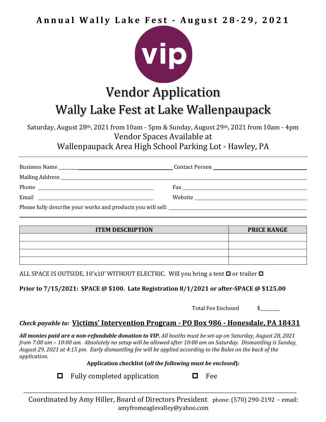**Annual Wally Lake Fest - August 2 8 - 2 9 , 2 0 2 1**



## **Vendor Application** Wally Lake Fest at Lake Wallenpaupack

Saturday, August 28<sup>th</sup>, 2021 from 10am - 5pm & Sunday, August 29<sup>th</sup>, 2021 from 10am - 4pm Vendor Spaces Available at

Wallenpaupack Area High School Parking Lot - Hawley, PA

| Email<br><u> 1990 - Johann Barbara, martin amerikan ba</u> |  |
|------------------------------------------------------------|--|
|                                                            |  |

| <b>ITEM DESCRIPTION</b> | <b>PRICE RANGE</b> |
|-------------------------|--------------------|
|                         |                    |
|                         |                    |
|                         |                    |
|                         |                    |

ALL SPACE IS OUTSIDE, 10'x10' WITHOUT ELECTRIC. Will you bring a tent  $\Box$  or trailer  $\Box$ 

**Prior to 7/15/2021: SPACE @ \$100. Late Registration 8/1/2021 or after-SPACE @ \$125.00** 

Total Fee Enclosed \$

## *Check payable to:* **Victims' Intervention Program - PO Box 986 - Honesdale, PA 18431**

All monies paid are a non-refundable donation to VIP. All booths must be set-up on Saturday, August 28, 2021 *from 7:00 am – 10:00 am. Absolutely no setup will be allowed after 10:00 am on Saturday. Dismantling is Sunday,*  August 29, 2021 at 4:15 pm. Early dismantling fee will be applied according to the Rules on the back of the *application.* 

Application checklist (all the following must be enclosed):

 $\Box$  Fully completed application  $\Box$  Fee

Coordinated by Amy Hiller, Board of Directors President phone: (570) 290-2192 - email: amyfromeaglevalley@yahoo.com